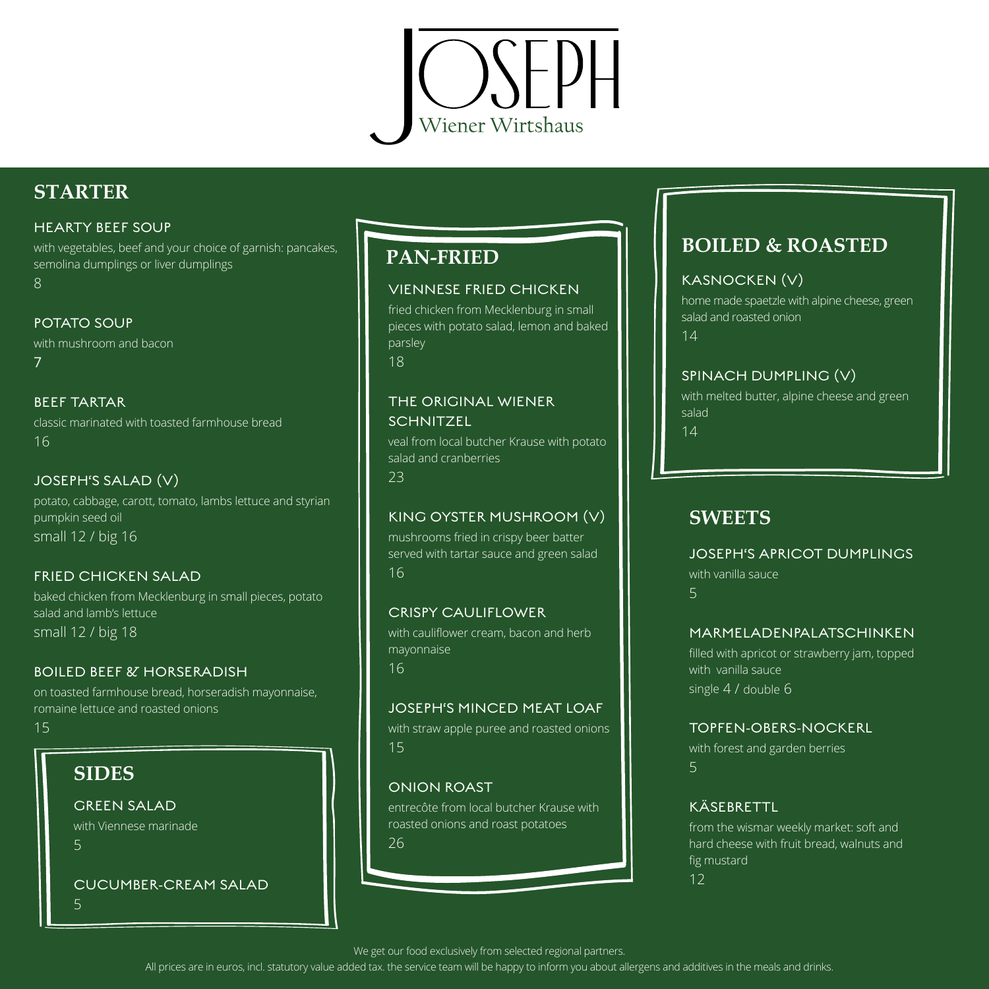

# **STARTER**

#### HEARTY BEEF SOUP

with vegetables, beef and your choice of garnish: pancakes, semolina dumplings or liver dumplings 8

#### POTATO SOUP

with mushroom and bacon 7

#### BEEF TARTAR

classic marinated with toasted farmhouse bread 16

#### JOSEPH'S SALAD (V)

potato, cabbage, carott, tomato, lambs lettuce and styrian pumpkin seed oil small 12 / big 16

#### FRIED CHICKEN SALAD

baked chicken from Mecklenburg in small pieces, potato salad and lamb's lettuce small 12 / big 18

#### BOILED BEEF & HORSERADISH

on toasted farmhouse bread, horseradish mayonnaise, romaine lettuce and roasted onions

#### 15

# **SIDES**

GREEN SALAD with Viennese marinade 5

CUCUMBER-CREAM SALAD 5

## **PAN-FRIED**

#### VIENNESE FRIED CHICKEN

fried chicken from Mecklenburg in small pieces with potato salad, lemon and baked parsley 18

#### THE ORIGINAL WIENER **SCHNITZEL**

veal from local butcher Krause with potato salad and cranberries 23

#### KING OYSTER MUSHROOM (V)

mushrooms fried in crispy beer batter served with tartar sauce and green salad 16

#### CRISPY CAULIFLOWER

with cauliflower cream, bacon and herb mayonnaise 16

#### JOSEPH'S MINCED MEAT LOAF

with straw apple puree and roasted onions 15

#### ONION ROAST

entrecôte from local butcher Krause with roasted onions and roast potatoes 26

# **BOILED & ROASTED**

#### KASNOCKEN (V)

home made spaetzle with alpine cheese, green salad and roasted onion

14

#### SPINACH DUMPLING (V)

with melted butter, alpine cheese and green salad 14

## **SWEETS**

JOSEPH'S APRICOT DUMPLINGS with vanilla sauce 5

#### MARMELADENPALATSCHINKEN

filled with apricot or strawberry jam, topped with vanilla sauce single 4 / double 6

#### TOPFEN-OBERS-NOCKERL

with forest and garden berries 5

#### **KÄSEBRETTL**

from the wismar weekly market: soft and hard cheese with fruit bread, walnuts and fig mustard 12

We get our food exclusively from selected regional partners.

All prices are in euros, incl. statutory value added tax. the service team will be happy to inform you about allergens and additives in the meals and drinks.